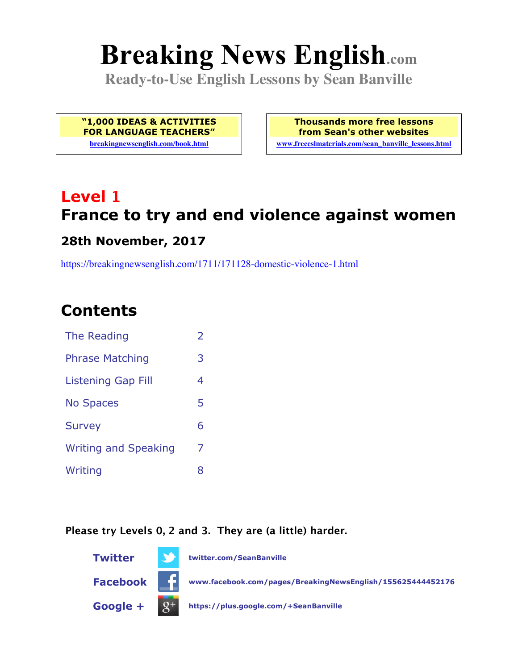# **Breaking News English.com**

**Ready-to-Use English Lessons by Sean Banville**

**"1,000 IDEAS & ACTIVITIES FOR LANGUAGE TEACHERS"**

**breakingnewsenglish.com/book.html**

**Thousands more free lessons from Sean's other websites www.freeeslmaterials.com/sean\_banville\_lessons.html**

## **Level 1 France to try and end violence against women**

#### **28th November, 2017**

https://breakingnewsenglish.com/1711/171128-domestic-violence-1.html

### **Contents**

| The Reading                 | $\overline{\phantom{a}}$ |
|-----------------------------|--------------------------|
| <b>Phrase Matching</b>      | 3                        |
| Listening Gap Fill          | 4                        |
| <b>No Spaces</b>            | 5                        |
| <b>Survey</b>               | 6                        |
| <b>Writing and Speaking</b> | 7                        |
| Writing                     | 8                        |

#### **Please try Levels 0, 2 and 3. They are (a little) harder.**

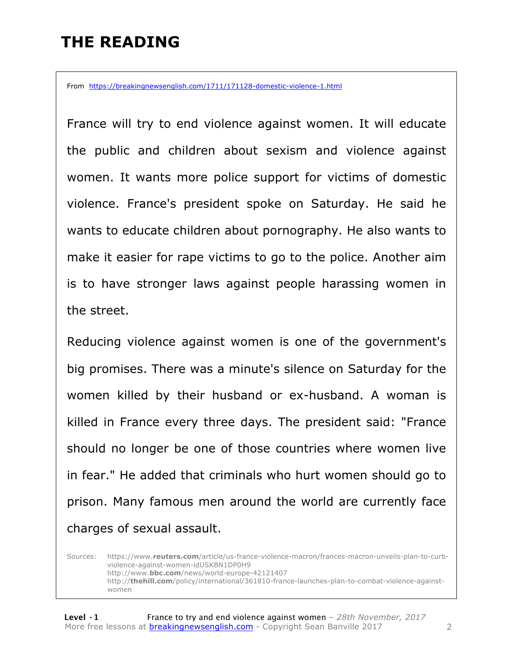### **THE READING**

From https://breakingnewsenglish.com/1711/171128-domestic-violence-1.html

France will try to end violence against women. It will educate the public and children about sexism and violence against women. It wants more police support for victims of domestic violence. France's president spoke on Saturday. He said he wants to educate children about pornography. He also wants to make it easier for rape victims to go to the police. Another aim is to have stronger laws against people harassing women in the street.

Reducing violence against women is one of the government's big promises. There was a minute's silence on Saturday for the women killed by their husband or ex-husband. A woman is killed in France every three days. The president said: "France should no longer be one of those countries where women live in fear." He added that criminals who hurt women should go to prison. Many famous men around the world are currently face charges of sexual assault.

Sources: https://www.**reuters.com**/article/us-france-violence-macron/frances-macron-unveils-plan-to-curbviolence-against-women-idUSKBN1DP0H9 http://www.**bbc.com**/news/world-europe-42121407 http://**thehill.com**/policy/international/361810-france-launches-plan-to-combat-violence-againstwomen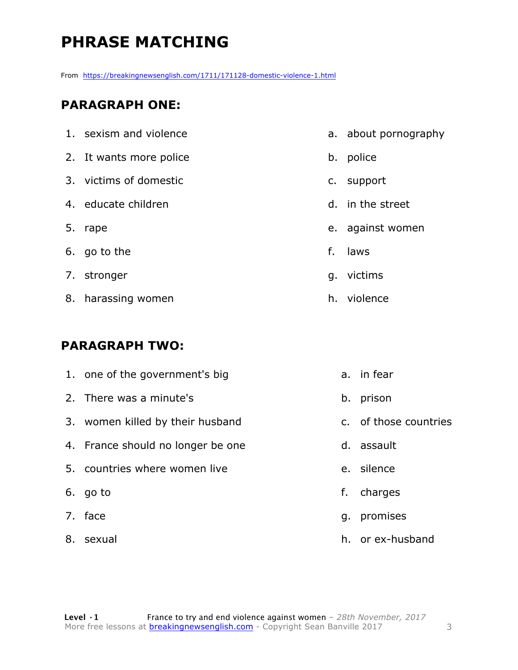### **PHRASE MATCHING**

From https://breakingnewsenglish.com/1711/171128-domestic-violence-1.html

#### **PARAGRAPH ONE:**

| 1. sexism and violence  |    | a. about pornography |
|-------------------------|----|----------------------|
| 2. It wants more police |    | b. police            |
| 3. victims of domestic  |    | c. support           |
| 4. educate children     |    | d. in the street     |
| 5. rape                 |    | e. against women     |
| 6. go to the            | f. | laws                 |
| 7. stronger             |    | g. victims           |
| 8. harassing women      |    | h. violence          |

#### **PARAGRAPH TWO:**

| 1. one of the government's big    |    | a. in fear            |
|-----------------------------------|----|-----------------------|
| 2. There was a minute's           | b. | prison                |
| 3. women killed by their husband  |    | c. of those countries |
| 4. France should no longer be one |    | d. assault            |
| 5. countries where women live     |    | e. silence            |
| 6. go to                          | f. | charges               |
| 7. face                           | q. | promises              |
| 8. sexual                         |    | h. or ex-husband      |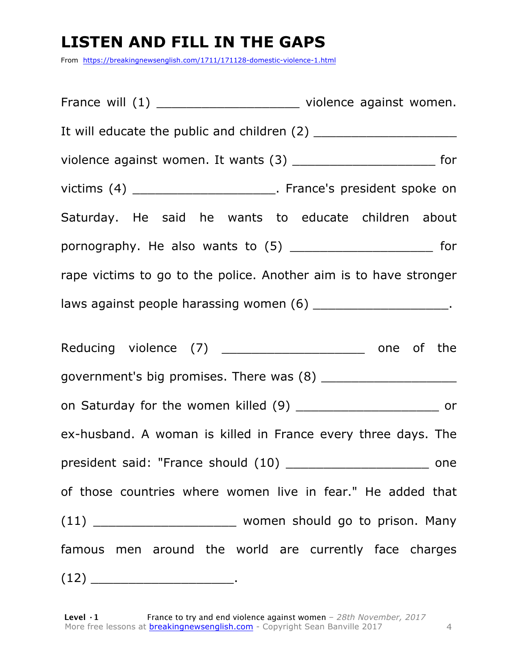### **LISTEN AND FILL IN THE GAPS**

From https://breakingnewsenglish.com/1711/171128-domestic-violence-1.html

France will (1) The settle of the violence against women. It will educate the public and children (2) violence against women. It wants (3) \_\_\_\_\_\_\_\_\_\_\_\_\_\_\_\_\_\_\_\_\_\_\_\_\_\_\_\_ for victims (4) \_\_\_\_\_\_\_\_\_\_\_\_\_\_\_\_\_\_\_\_\_\_\_. France's president spoke on Saturday. He said he wants to educate children about pornography. He also wants to (5) \_\_\_\_\_\_\_\_\_\_\_\_\_\_\_\_\_\_\_ for rape victims to go to the police. Another aim is to have stronger laws against people harassing women (6)  $\qquad \qquad$ Reducing violence (7) \_\_\_\_\_\_\_\_\_\_\_\_\_\_\_\_\_\_\_\_\_\_ one of the government's big promises. There was (8) \_\_\_\_\_\_\_\_\_\_\_\_\_\_\_\_\_\_ on Saturday for the women killed (9) \_\_\_\_\_\_\_\_\_\_\_\_\_\_\_\_\_\_\_ or ex-husband. A woman is killed in France every three days. The president said: "France should (10) energy one of those countries where women live in fear." He added that (11) \_\_\_\_\_\_\_\_\_\_\_\_\_\_\_\_\_\_\_ women should go to prison. Many famous men around the world are currently face charges  $(12)$  .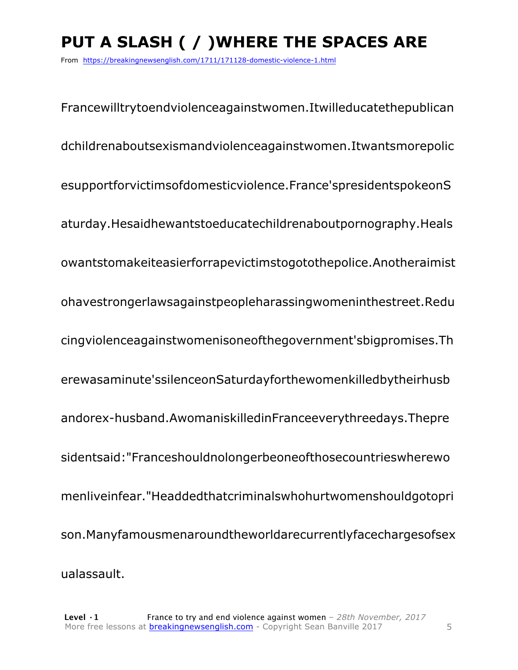### **PUT A SLASH ( / )WHERE THE SPACES ARE**

From https://breakingnewsenglish.com/1711/171128-domestic-violence-1.html

Francewilltrytoendviolenceagainstwomen.Itwilleducatethepublican dchildrenaboutsexismandviolenceagainstwomen.Itwantsmorepolic esupportforvictimsofdomesticviolence.France'spresidentspokeonS aturday.Hesaidhewantstoeducatechildrenaboutpornography.Heals owantstomakeiteasierforrapevictimstogotothepolice.Anotheraimist ohavestrongerlawsagainstpeopleharassingwomeninthestreet.Redu cingviolenceagainstwomenisoneofthegovernment'sbigpromises.Th erewasaminute'ssilenceonSaturdayforthewomenkilledbytheirhusb andorex-husband.AwomaniskilledinFranceeverythreedays.Thepre sidentsaid:"Franceshouldnolongerbeoneofthosecountrieswherewo menliveinfear."Headdedthatcriminalswhohurtwomenshouldgotopri son.Manyfamousmenaroundtheworldarecurrentlyfacechargesofsex ualassault.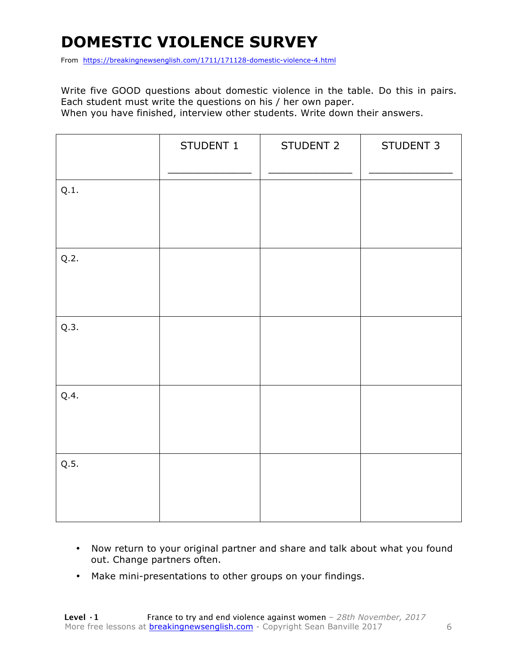### **DOMESTIC VIOLENCE SURVEY**

From https://breakingnewsenglish.com/1711/171128-domestic-violence-4.html

Write five GOOD questions about domestic violence in the table. Do this in pairs. Each student must write the questions on his / her own paper. When you have finished, interview other students. Write down their answers.

|      | STUDENT 1 | STUDENT 2 | STUDENT 3 |
|------|-----------|-----------|-----------|
| Q.1. |           |           |           |
| Q.2. |           |           |           |
| Q.3. |           |           |           |
| Q.4. |           |           |           |
| Q.5. |           |           |           |

- Now return to your original partner and share and talk about what you found out. Change partners often.
- Make mini-presentations to other groups on your findings.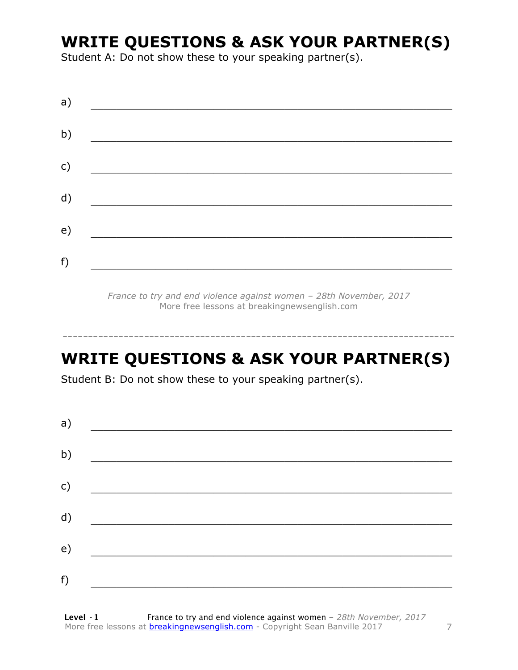### **WRITE QUESTIONS & ASK YOUR PARTNER(S)**

Student A: Do not show these to your speaking partner(s).

| a)           |  |  |
|--------------|--|--|
| b)           |  |  |
| $\mathsf{C}$ |  |  |
|              |  |  |
| d)           |  |  |
| e)           |  |  |
| f)           |  |  |

*France to try and end violence against women – 28th November, 2017* More free lessons at breakingnewsenglish.com

### **WRITE QUESTIONS & ASK YOUR PARTNER(S)**

-----------------------------------------------------------------------------

Student B: Do not show these to your speaking partner(s).

| a)            |  |  |
|---------------|--|--|
| b)            |  |  |
| $\mathsf{c})$ |  |  |
| d)            |  |  |
| e)            |  |  |
| f)            |  |  |